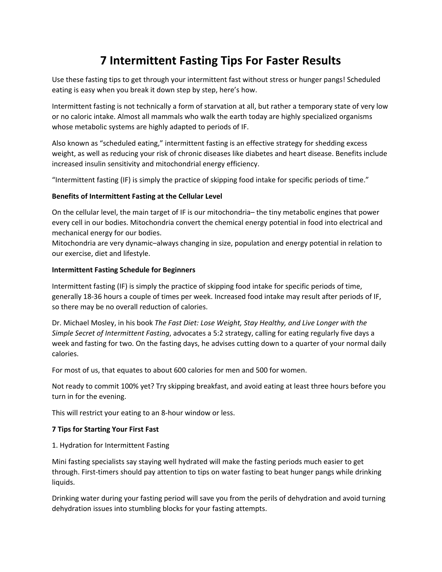# **7 Intermittent Fasting Tips For Faster Results**

Use these fasting tips to get through your intermittent fast without stress or hunger pangs! Scheduled eating is easy when you break it down step by step, here's how.

Intermittent fasting is not technically a form of starvation at all, but rather a temporary state of very low or no caloric intake. Almost all mammals who walk the earth today are highly specialized organisms whose metabolic systems are highly adapted to periods of IF.

Also known as "scheduled eating," intermittent fasting is an effective strategy for shedding excess weight, as well as reducing your risk of chronic diseases like diabetes and heart disease. Benefits include increased insulin sensitivity and mitochondrial energy efficiency.

"Intermittent fasting (IF) is simply the practice of skipping food intake for specific periods of time."

## **Benefits of Intermittent Fasting at the Cellular Level**

On the cellular level, the main target of IF is our mitochondria– the tiny metabolic engines that power every cell in our bodies. Mitochondria convert the chemical energy potential in food into electrical and mechanical energy for our bodies.

Mitochondria are very dynamic–always changing in size, population and energy potential in relation to our exercise, diet and lifestyle.

## **Intermittent Fasting Schedule for Beginners**

Intermittent fasting (IF) is simply the practice of skipping food intake for specific periods of time, generally 18-36 hours a couple of times per week. Increased food intake may result after periods of IF, so there may be no overall reduction of calories.

Dr. Michael Mosley, in his book *The Fast Diet: Lose Weight, Stay Healthy, and Live Longer with the Simple Secret of Intermittent Fasting*, advocates a 5:2 strategy, calling for eating regularly five days a week and fasting for two. On the fasting days, he advises cutting down to a quarter of your normal daily calories.

For most of us, that equates to about 600 calories for men and 500 for women.

Not ready to commit 100% yet? Try skipping breakfast, and avoid eating at least three hours before you turn in for the evening.

This will restrict your eating to an 8-hour window or less.

# **7 Tips for Starting Your First Fast**

#### 1. Hydration for Intermittent Fasting

Mini fasting specialists say staying well hydrated will make the fasting periods much easier to get through. First-timers should pay attention to tips on water fasting to beat hunger pangs while drinking liquids.

Drinking water during your fasting period will save you from the perils of dehydration and avoid turning dehydration issues into stumbling blocks for your fasting attempts.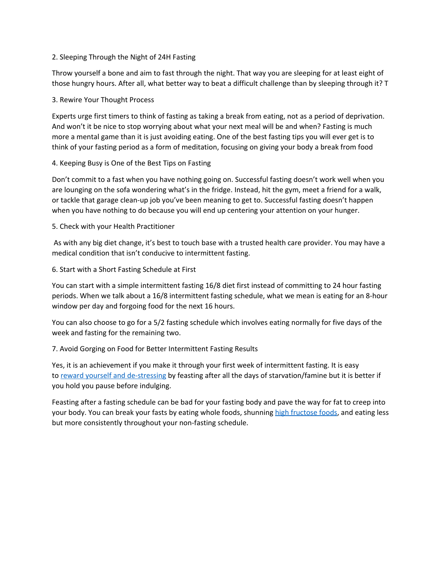#### 2. Sleeping Through the Night of 24H Fasting

Throw yourself a bone and aim to fast through the night. That way you are sleeping for at least eight of those hungry hours. After all, what better way to beat a difficult challenge than by sleeping through it? T

## 3. Rewire Your Thought Process

Experts urge first timers to think of fasting as taking a break from eating, not as a period of deprivation. And won't it be nice to stop worrying about what your next meal will be and when? Fasting is much more a mental game than it is just avoiding eating. One of the best fasting tips you will ever get is to think of your fasting period as a form of meditation, focusing on giving your body a break from food

# 4. Keeping Busy is One of the Best Tips on Fasting

Don't commit to a fast when you have nothing going on. Successful fasting doesn't work well when you are lounging on the sofa wondering what's in the fridge. Instead, hit the gym, meet a friend for a walk, or tackle that garage clean-up job you've been meaning to get to. Successful fasting doesn't happen when you have nothing to do because you will end up centering your attention on your hunger.

## 5. Check with your Health Practitioner

As with any big diet change, it's best to touch base with a trusted health care provider. You may have a medical condition that isn't conducive to intermittent fasting.

## 6. Start with a Short Fasting Schedule at First

You can start with a simple intermittent fasting 16/8 diet first instead of committing to 24 hour fasting periods. When we talk about a 16/8 intermittent fasting schedule, what we mean is eating for an 8-hour window per day and forgoing food for the next 16 hours.

You can also choose to go for a 5/2 fasting schedule which involves eating normally for five days of the week and fasting for the remaining two.

# 7. Avoid Gorging on Food for Better Intermittent Fasting Results

Yes, it is an achievement if you make it through your first week of intermittent fasting. It is easy to reward yourself and [de-stressing](https://juvenon.com/4-de-stressing-tips-youve-probably-never-heard-before/?utm_medium=jv&utm_source=link&utm_campaign=mini-fasting-for-maximum-results) by feasting after all the days of starvation/famine but it is better if you hold you pause before indulging.

Feasting after a fasting schedule can be bad for your fasting body and pave the way for fat to creep into your body. You can break your fasts by eating whole foods, shunning high [fructose](https://juvenon.com/healthy-foods-with-hidden-sugar/?utm_medium=jv&utm_source=link&utm_campaign=mini-fasting-for-maximum-results) foods, and eating less but more consistently throughout your non-fasting schedule.